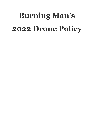# **Burning Man's 2022 Drone Policy**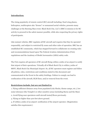# **Introduction:**

The rising popularity of remote control (RC) aircraft including: fixed wing planes, helicopters, multicopters aka "drones" or unmanned aerial vehicles, presents many challenges at the Burning Man event. Black Rock City, LLC's (BRC's) mission is for RC activity to proceed in the safest manner possible, while also respecting the privacy rights of participants.

Like mutant vehicles, BRC regulates all RC aircraft and requires that they be operated responsibly, and subject to restricted fly zones and other rules of operation. BRC has an established RC community, which has stepped forward to collaborate on creating rules and recommendations based upon The Federal Aviation Administration (FAA) regulations and the Academy of Model Aeronautics (AMA) safety code.

The FAA requires all operators of RC aircraft flying within 5 miles of an airport to notify that airport of their operations. Virtually all of Black Rock City is within 5 miles of 88NV, Black Rock City Municipal Airport. So, all RC operators must register and follow all policies, rules, restrictions and conditions stated in this document and communicated at the Event in the safety briefings. Failure to comply can lead to confiscation of the aircraft, BLM fines, and/or removal from the event.

# **Restrictions include, but are not limited to:**

1. Flying sufficient distance away from populated (city blocks, theme camps, etc.), low noise tolerance (the Temple!) or other sensitive areas (including Burns and the Man) 2. Avoid flying near spectators until aircraft tested/flown previously.

3. Flying no higher than 400 feet above ground.

4. If within 5 miles of an airport: notification of the airport operator. (Registration satisfies this requirement.)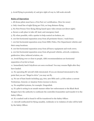5. Avoid flying in proximity of, and give right-of-way to, full-scale aircraft.

# **Rules of Operation**

1. All drone pilots must have a FAA Part 107 certification. (New for 2022)

2. Only visual line of sight flying per FAA, no long distance flying.

3. No First Person View flying (flying based upon video stream not direct sight).

4. Secure a safe place to take off, land, and emergency land.

5. Fly when possible, with a spotter to help control on-lookers, etc.

6. 100 feet horizontal separation away from all perimeter fences / trash fence.

7. 100 feet horizontal separation away from EMS, Police, Fire Department vehicles and their camp locations.

8. 100 feet horizontal separation away from all heavy equipment and work crews.

9. 100 feet horizontal separation away from all ground vehicles, artwork, sculptures, guidewires, kites, tethered aviation, etc.

10. Avoid flying over or close to people, AMA recommendations are horizontal separation of 25 feet at least.

11. Immediately land if skydivers are seen overhead. You may resume flight after they have landed.

12. No operating RC aircraft while intoxicated. If you are deemed intoxicated to the point that you are "illegal to drive" you may not fly.

13. No use of ham bands including 433, 600, 900 MHz and 1.3 GHz unless a current Technician, General, or Amateur Extra License is shown.

14. No amplified systems, for example: Dragonlink.

15. If a pilot is acting in an unsafe manner either law enforcement or the Black Rock Rangers have the authority to confiscate the controller/transmitter and transfer it to the Safety Officer.

16. If a crashed craft is found it will be transferred to the Safety Officer.

17. Aircraft confiscated for flying unsafely, recklessly or in violation of rules will be held by the Safety Officer.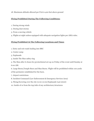18. Maximum altitude allowed per FAA is 400 feet above ground

# **Flying Prohibited During The Following Conditions:**

- 1. During strong winds
- 2. During dust storms
- 3. From a moving vehicle
- 4. Flights at night unless equipped with adequate navigation lights per AMA rules.

# **Flying Prohibited At The Following Locations and Times**

- 1. Entry and exit roads leading into BRC
- 2. Center camp
- 3. Esplanade
- 4. Inside The Man safety ring
- 5. The Man after it closes for pyrotechnical set-up on Friday of the event until Sunday at 6:00 AM.
- 6. Large Burns,Temple Burn and Man Burns. Flight will be prohibited within 100 yards of the perimeter established for the burn.
- 7. Airport restrictions
- 8. Incident Command (Law Enforcement & Emergency Services Area)
- 9. Flying/hovering over the city (2:00-10:00/Esplanade-Last street)
- 10. Inside of or from the top/side of any architecture/structures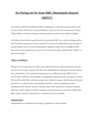# **No Flying At Or Near BRC Municipal Airport (88NV)**

● No flying at 88NV including the 88NV camping area, terminal, ramp/tie-down, and runways unless direct face-to-face permission is given by the Air Commander, Airport Safety Officer, or Runway Manager during airport operation hours (dawn-twilight).

● No flying from the last named street that surrounds BRC over walk-in campground to the trash fence/perimeter from the radials of 2:00 to 6:00 (dependent upon location of airport being at 5:00 or 5:30) during airport operation hours (dawn-twilight) unless direct face-to-face permission is given by the Air Commander, Airport Safety Officer, or Runway Manager.

# **Other Conditions**

Please be aware that there are other rules and laws that may affect operations of an RC aircraft. For example, using an RC aircraft to photograph or videotape someone without their permission or for commercial purposes is not authorized under BRC's Ticket Terms and Conditions. Intentionally or negligently injuring persons or property with an RC aircraft could lead to criminal assault and or battery charges. Interfering with airport operations is a federal crime. Be mindful of all laws, rules and regulations when operating an RC aircraft, and use common sense. If RC aircraft are operated unsafely then they will be subject to further regulation and restrictions in the future. Help make BRC a place where RC aircraft are a valued part of the community.

### **Registration:**

● Registration is mandatory and on-line; registration will be limited.